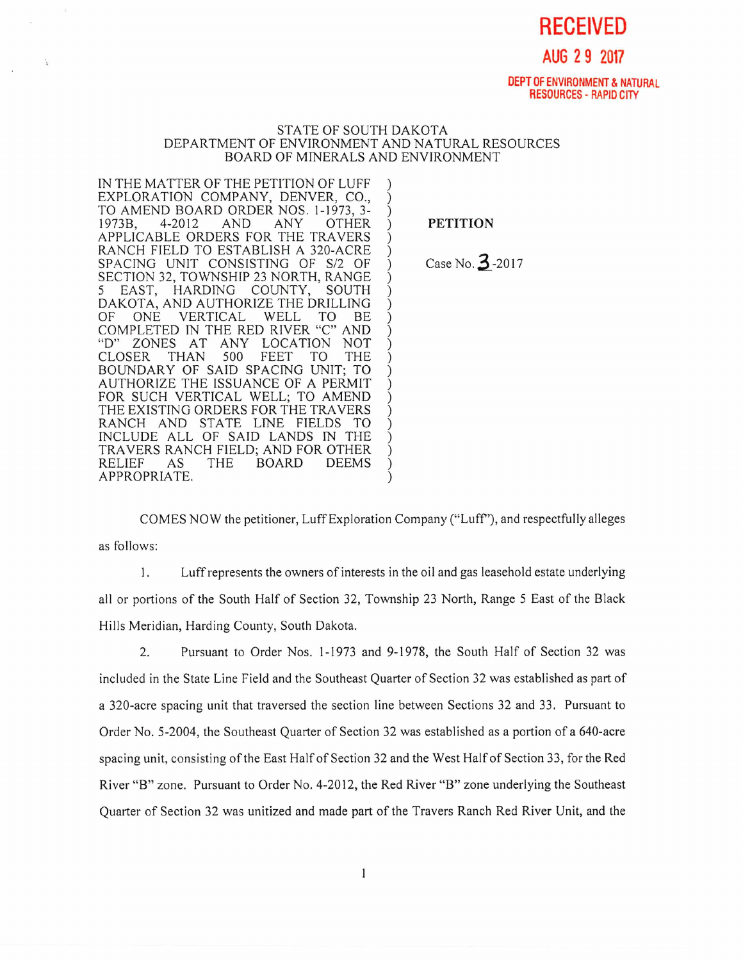**RECEIVED** 

**AUG 2 9 2017** 

**DEPT OF ENVIRONMENT & NATURAL RESOURCES** - RAPID CITY

## STATE OF SOUTH DAKOTA DEPARTMENT OF ENVIRONMENT AND NATURAL RESOURCES BOARD OF MINERALS AND ENVIRONMENT

IN THE MATTER OF THE PETITION OF LUFF EXPLORATION COMPANY, DENVER, CO., TO AMEND BOARD ORDER NOS. 1-1973, 3-<br>1973B. 4-2012 AND ANY OTHER 1973B, 4-2012 AND ANY OTHER APPLICABLE ORDERS FOR THE TRAVERS RANCH FIELD TO ESTABLISH A 320-ACRE SPACING UNIT CONSISTING OF S/2 OF SECTION 32, TOWNSHIP 23 NORTH, RANGE 5 EAST, HARDING COUNTY, SOUTH DAKOTA, AND AUTHORIZE THE DRILLING OF ONE VERTICAL WELL TO BE COMPLETED IN THE RED RIVER "C" AND<br>"D" ZONES AT ANY LOCATION NOT ZONES AT ANY LOCATION NOT<br>ER THAN 500 FEET TO THE CLOSER BOUNDARY OF SAID SPACING UNIT; TO AUTHORIZE THE ISSUANCE OF A PERMIT FOR SUCH VERTICAL WELL; TO AMEND THE EXISTING ORDERS FOR THE TRAVERS RANCH AND STATE LINE FIELDS TO INCLUDE ALL OF SAID LANDS IN THE TRAVERS RANCH FIELD; AND FOR OTHER BOARD APPROPRIATE.

PETITION

Case No. 3-2017

COMES NOW the petitioner, Luff Exploration Company ("Luff"), and respectfully alleges as follows:

1. Luff represents the owners of interests in the oil and gas leasehold estate underlying all or portions of the South Half of Section 32, Township 23 North, Range 5 East of the Black Hills Meridian, Harding County, South Dakota.

2. Pursuant to Order Nos. 1-1973 and 9-1978, the South Half of Section 32 was included in the State Line Field and the Southeast Quarter of Section 32 was established as part of a 320-acre spacing unit that traversed the section line between Sections 32 and 33. Pursuant to Order No. 5-2004, the Southeast Quarter of Section 32 was established as a portion of a 640-acre spacing unit, consisting of the East Half of Section 32 and the West Half of Section 33, for the Red River "B" zone. Pursuant to Order No. 4-2012, the Red River "B" zone underlying the Southeast Quarter of Section 32 was unitized and made part of the Travers Ranch Red River Unit, and the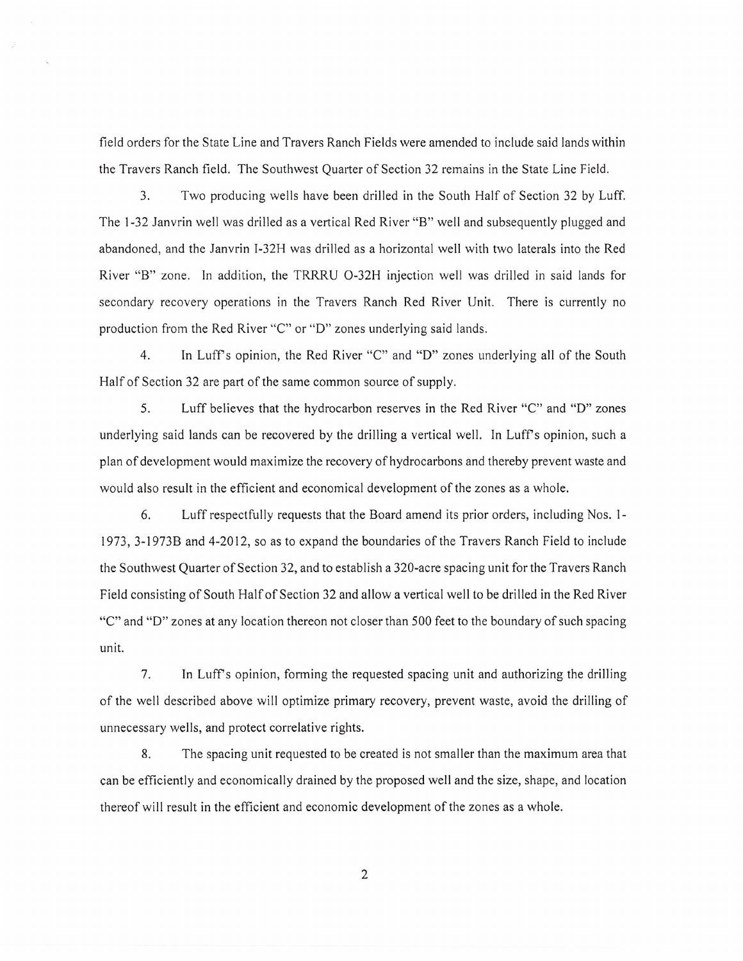field orders for the State Line and Travers Ranch Fields were amended to include said lands within the Travers Ranch field. The Southwest Quarter of Section 32 remains in the State Line Field.

3. Two producing wells have been drilled in the South Half of Section 32 by Luff. The 1-32 Janvrin well was drilled as a vertical Red River "B" well and subsequently plugged and abandoned, and the Janvrin I-32H was drilled as a horizontal well with two laterals into the Red River "B" zone. In addition, the TRRRU O-32H injection well was drilled in said lands for secondary recovery operations in the Travers Ranch Red River Unit. There is currently no production from the Red River "C" or "D" zones underlying said lands.

4. In Luff's opinion, the Red River "C" and "D" zones underlying all of the South Half of Section 32 are part of the same common source of supply.

5. Luff believes that the hydrocarbon reserves in the Red River "C" and "D" zones underlying said lands can be recovered by the drilling a vertical well. In Luff's opinion, such a plan of development would maximize the recovery of hydrocarbons and thereby prevent waste and would also result in the efficient and economical development of the zones as a whole.

6. Luff respectfully requests that the Board amend its prior orders, including Nos. 1- 1973, 3-1973B and 4-2012, so as to expand the boundaries of the Travers Ranch Field to include the Southwest Quarter of Section 32, and to establish a 320-acre spacing unit for the Travers Ranch Field consisting of South Half of Section 32 and allow a vertical well to be drilled in the Red River "C" and "D" zones at any location thereon not closer than 500 feet to the boundary of such spacing unit.

7. In Luff's opinion, forming the requested spacing unit and authorizing the drilling of the well described above will optimize primary recovery, prevent waste, avoid the drilling of unnecessary wells, and protect correlative rights.

8. The spacing unit requested to be created is not smaller than the maximum area that can be efficiently and economically drained by the proposed well and the size, shape, and location thereof will result in the efficient and economic development of the zones as a whole.

2